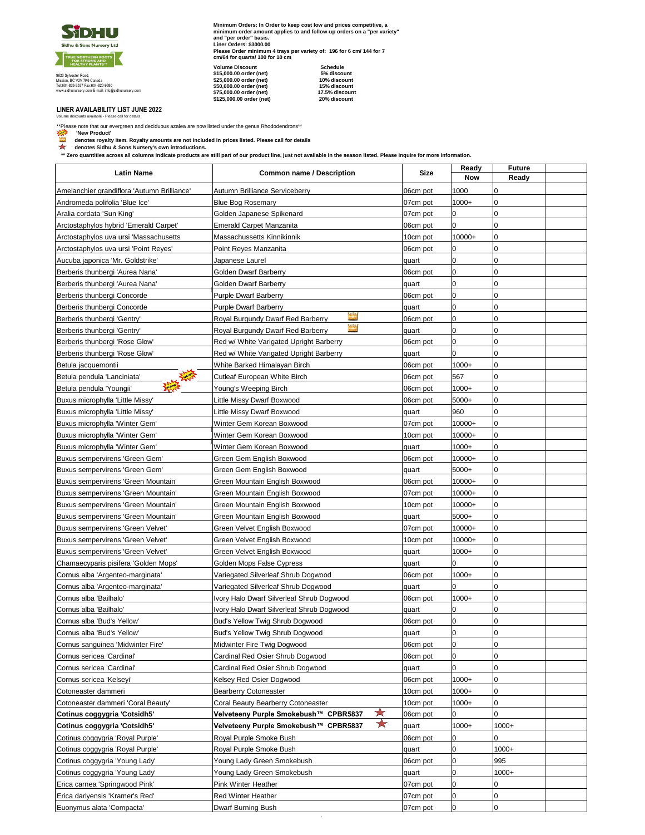

9623 Sylvester Road, Mission, BC V2V 7K6 Canada Tel:604-826-3537 Fax:604-820-9680 www.sidhunursery.com E-mail: info@sidhunursery.com

**Minimum Orders: In Order to keep cost low and prices competitive, a minimum order amount applies to and follow-up orders on a "per variety" and "per order" basis. Liner Orders: \$3000.00 Please Order minimum 4 trays per variety of: 196 for 6 cm/ 144 for 7 cm/64 for quarts/ 100 for 10 cm Volume Discount** 

| \$15,000.00 order (net)  | 5% discount    |
|--------------------------|----------------|
| \$25,000.00 order (net)  | 10% discount   |
| \$50.000.00 order (net)  | 15% discount   |
| \$75,000.00 order (net)  | 17.5% discount |
| \$125.000.00 order (net) | 20% discount   |
|                          |                |

**LINER AVAILABILITY LIST JUNE 2022** Volume discounts available - Please call for details

\*\*Please note that our evergreen and deciduous azalea are now listed under the genus Rhododendrons\*\*

**المجتبع: '** New Product'<br>Lill denotes royalty item. Royalty amounts are not included in prices listed. Please call for details هي alter<br>Althrough discussions Nursery's own introductions.

 **\*\* Zero quantities across all columns indicate products are still part of our product line, just not available in the season listed. Please inquire for more information.**

| <b>Latin Name</b>                           | <b>Common name / Description</b>                  | Size     | Ready               | <b>Future</b> |  |
|---------------------------------------------|---------------------------------------------------|----------|---------------------|---------------|--|
|                                             |                                                   |          | Now                 | Ready         |  |
| Amelanchier grandiflora 'Autumn Brilliance' | Autumn Brilliance Serviceberry                    | 06cm pot | 1000                | $\pmb{0}$     |  |
| Andromeda polifolia 'Blue Ice'              | <b>Blue Bog Rosemary</b>                          | 07cm pot | $1000+$             | $\pmb{0}$     |  |
| Aralia cordata 'Sun King'                   | Golden Japanese Spikenard                         | 07cm pot | 0                   | $\pmb{0}$     |  |
| Arctostaphylos hybrid 'Emerald Carpet'      | <b>Emerald Carpet Manzanita</b>                   | 06cm pot | 0                   | $\mathbf 0$   |  |
| Arctostaphylos uva_ursi 'Massachusetts      | Massachussetts Kinnikinnik                        | 10cm pot | 10000+              | $\pmb{0}$     |  |
| Arctostaphylos uva ursi 'Point Reyes'       | Point Reyes Manzanita                             | 06cm pot | 0                   | $\pmb{0}$     |  |
| Aucuba japonica 'Mr. Goldstrike'            | Japanese Laurel                                   | quart    | 0                   | $\pmb{0}$     |  |
| Berberis thunbergi 'Aurea Nana'             | Golden Dwarf Barberry                             | 06cm pot | 0                   | $\pmb{0}$     |  |
| Berberis thunbergi 'Aurea Nana'             | Golden Dwarf Barberry                             | quart    | 0                   | $\pmb{0}$     |  |
| Berberis thunbergi Concorde                 | <b>Purple Dwarf Barberry</b>                      | 06cm pot | 0                   | $\pmb{0}$     |  |
| Berberis thunbergi Concorde                 | <b>Purple Dwarf Barberry</b>                      | quart    | 0                   | $\pmb{0}$     |  |
| Berberis thunbergi 'Gentry'                 | ίņ.<br>Royal Burgundy Dwarf Red Barberry          | 06cm pot | 0                   | $\pmb{0}$     |  |
| Berberis thunbergi 'Gentry'                 | riti<br>Kiti<br>Royal Burgundy Dwarf Red Barberry | quart    | 0                   | $\pmb{0}$     |  |
| Berberis thunbergi 'Rose Glow'              | Red w/ White Varigated Upright Barberry           | 06cm pot | 0                   | $\pmb{0}$     |  |
| Berberis thunbergi 'Rose Glow'              | Red w/ White Varigated Upright Barberry           | quart    | 0                   | $\pmb{0}$     |  |
| Betula jacquemontii                         | White Barked Himalayan Birch                      | 06cm pot | $1000+$             | $\pmb{0}$     |  |
| Betula pendula 'Lanciniata'                 | Cutleaf European White Birch                      | 06cm pot | 567                 | $\pmb{0}$     |  |
| Betula pendula 'Youngii'                    | Young's Weeping Birch                             | 06cm pot | $1000+$             | $\pmb{0}$     |  |
| Buxus microphylla 'Little Missy'            | Little Missy Dwarf Boxwood                        | 06cm pot | 5000+               | $\pmb{0}$     |  |
| Buxus microphylla 'Little Missy'            | Little Missy Dwarf Boxwood                        | quart    | 960                 | $\pmb{0}$     |  |
| Buxus microphylla 'Winter Gem'              | Winter Gem Korean Boxwood                         | 07cm pot | 10000+              | $\pmb{0}$     |  |
| Buxus microphylla 'Winter Gem'              | Winter Gem Korean Boxwood                         | 10cm pot | 10000+              | $\pmb{0}$     |  |
| Buxus microphylla 'Winter Gem'              | Winter Gem Korean Boxwood                         | quart    | $1000+$             | 0             |  |
| Buxus sempervirens 'Green Gem'              | Green Gem English Boxwood                         | 06cm pot | 10000+              | $\pmb{0}$     |  |
| Buxus sempervirens 'Green Gem'              | Green Gem English Boxwood                         | quart    | 5000+               | $\pmb{0}$     |  |
| Buxus sempervirens 'Green Mountain'         | Green Mountain English Boxwood                    | 06cm pot | 10000+              | $\pmb{0}$     |  |
| Buxus sempervirens 'Green Mountain'         | Green Mountain English Boxwood                    | 07cm pot | 10000+              | $\pmb{0}$     |  |
| Buxus sempervirens 'Green Mountain'         | Green Mountain English Boxwood                    | 10cm pot | $10000+$            | $\pmb{0}$     |  |
| Buxus sempervirens 'Green Mountain'         | Green Mountain English Boxwood                    | quart    | 5000+               | $\pmb{0}$     |  |
| Buxus sempervirens 'Green Velvet'           | Green Velvet English Boxwood                      | 07cm pot | 10000+              | $\pmb{0}$     |  |
| Buxus sempervirens 'Green Velvet'           | Green Velvet English Boxwood                      | 10cm pot | $10000+$            | $\pmb{0}$     |  |
| Buxus sempervirens 'Green Velvet'           | Green Velvet English Boxwood                      | quart    | $1000+$             | 0             |  |
| Chamaecyparis pisifera 'Golden Mops'        | Golden Mops False Cypress                         | quart    | 0                   | $\pmb{0}$     |  |
| Cornus alba 'Argenteo-marginata'            | Variegated Silverleaf Shrub Dogwood               | 06cm pot | $1000+$             | $\pmb{0}$     |  |
| Cornus alba 'Argenteo-marginata'            | Variegated Silverleaf Shrub Dogwood               | quart    | 0                   | $\pmb{0}$     |  |
| Cornus alba 'Bailhalo'                      | Ivory Halo Dwarf Silverleaf Shrub Dogwood         | 06cm pot | $1000+$             | $\pmb{0}$     |  |
| Cornus alba 'Bailhalo'                      | Ivory Halo Dwarf Silverleaf Shrub Dogwood         | quart    | 0                   | $\pmb{0}$     |  |
| Cornus alba 'Bud's Yellow'                  | Bud's Yellow Twig Shrub Dogwood                   | 06cm pot | 0                   | $\pmb{0}$     |  |
| Cornus alba 'Bud's Yellow'                  | Bud's Yellow Twig Shrub Dogwood                   | quart    | 0                   | $\pmb{0}$     |  |
| Cornus sanguinea 'Midwinter Fire'           | Midwinter Fire Twig Dogwood                       | 06cm pot | $\mathsf{O}\xspace$ | 0             |  |
| Cornus sericea 'Cardinal'                   | Cardinal Red Osier Shrub Dogwood                  | 06cm pot | 0                   | $\mathbf 0$   |  |
| Cornus sericea 'Cardinal'                   | Cardinal Red Osier Shrub Dogwood                  | quart    | 0                   | $\pmb{0}$     |  |
| Cornus sericea 'Kelseyi'                    | Kelsey Red Osier Dogwood                          | 06cm pot | $1000+$             | $\pmb{0}$     |  |
| Cotoneaster dammeri                         | Bearberry Cotoneaster                             | 10cm pot | $1000+$             | $\pmb{0}$     |  |
| Cotoneaster dammeri 'Coral Beauty'          | Coral Beauty Bearberry Cotoneaster                | 10cm pot | $1000+$             | 0             |  |
| Cotinus coggygria 'Cotsidh5'                | ★<br>Velveteeny Purple Smokebush™ CPBR5837        | 06cm pot | 0                   | $\mathbf 0$   |  |
| Cotinus coggygria 'Cotsidh5'                | ★<br>Velveteeny Purple Smokebush™ CPBR5837        | quart    | $1000+$             | $1000+$       |  |
| Cotinus coggygria 'Royal Purple'            | Royal Purple Smoke Bush                           | 06cm pot | 0                   | 0             |  |
| Cotinus coggygria 'Royal Purple'            | Royal Purple Smoke Bush                           | quart    | 0                   | $1000+$       |  |
| Cotinus coggygria 'Young Lady'              | Young Lady Green Smokebush                        | 06cm pot | 0                   | 995           |  |
| Cotinus coggygria 'Young Lady'              | Young Lady Green Smokebush                        | quart    | 0                   | $1000+$       |  |
| Erica carnea 'Springwood Pink'              | Pink Winter Heather                               | 07cm pot | 0                   | 0             |  |
| Erica darlyensis 'Kramer's Red'             | <b>Red Winter Heather</b>                         | 07cm pot | 0                   | $\pmb{0}$     |  |
| Euonymus alata 'Compacta'                   | Dwarf Burning Bush                                | 07cm pot | 0                   | 0             |  |
|                                             |                                                   |          |                     |               |  |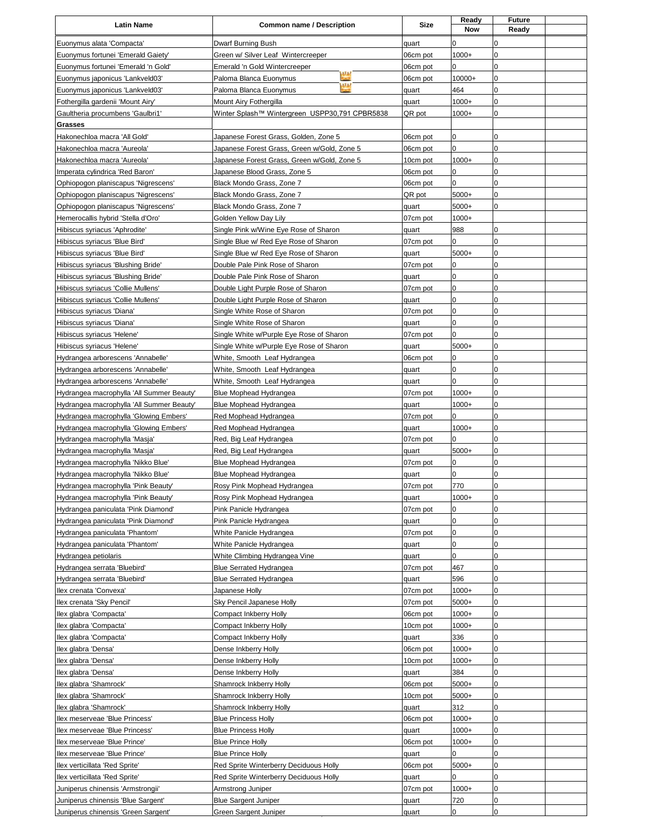| <b>Latin Name</b>                                                          | <b>Common name / Description</b>                                               | <b>Size</b>       | Ready<br><b>Now</b> | <b>Future</b><br>Ready |  |
|----------------------------------------------------------------------------|--------------------------------------------------------------------------------|-------------------|---------------------|------------------------|--|
| Euonymus alata 'Compacta'                                                  | Dwarf Burning Bush                                                             | quart             | 0                   | 0                      |  |
| Euonymus fortunei 'Emerald Gaiety'                                         | Green w/ Silver Leaf Wintercreeper                                             | 06cm pot          | $1000+$             | $\mathbf 0$            |  |
| Euonymus fortunei 'Emerald 'n Gold'                                        | Emerald 'n Gold Wintercreeper                                                  | 06cm pot          | 0                   | 0                      |  |
| Euonymus japonicus 'Lankveld03'                                            | Paloma Blanca Euonymus                                                         | 06cm pot          | 10000+              | $\pmb{0}$              |  |
| Euonymus japonicus 'Lankveld03'                                            | 1/1/2<br>Paloma Blanca Euonymus                                                | quart             | 464                 | $\mathbf 0$            |  |
| Fothergilla gardenii 'Mount Airy'                                          | Mount Airy Fothergilla                                                         | quart             | $1000+$             | $\mathbf 0$            |  |
| Gaultheria procumbens 'Gaulbri1'                                           | Winter Splash™ Wintergreen USPP30,791 CPBR5838                                 | QR pot            | $1000+$             | 0                      |  |
| <b>Grasses</b>                                                             |                                                                                |                   |                     |                        |  |
| Hakonechloa macra 'All Gold'                                               | Japanese Forest Grass, Golden, Zone 5                                          | 06cm pot          | 0                   | 0                      |  |
| Hakonechloa macra 'Aureola'                                                | Japanese Forest Grass, Green w/Gold, Zone 5                                    | 06cm pot          | 0                   | 0                      |  |
| Hakonechloa macra 'Aureola'                                                | Japanese Forest Grass, Green w/Gold, Zone 5                                    | 10cm pot          | $1000+$             | $\mathbf 0$            |  |
| Imperata cylindrica 'Red Baron'                                            | Japanese Blood Grass, Zone 5                                                   | 06cm pot          | 0                   | 0                      |  |
| Ophiopogon planiscapus 'Nigrescens'                                        | Black Mondo Grass, Zone 7                                                      | 06cm pot          | 0                   | 0                      |  |
| Ophiopogon planiscapus 'Nigrescens'                                        | Black Mondo Grass, Zone 7                                                      | QR pot            | 5000+               | 0                      |  |
| Ophiopogon planiscapus 'Nigrescens'                                        | Black Mondo Grass, Zone 7                                                      | quart             | 5000+               | 0                      |  |
| Hemerocallis hybrid 'Stella d'Oro'                                         | Golden Yellow Day Lily                                                         | 07cm pot          | $1000+$             | 0                      |  |
| Hibiscus syriacus 'Aphrodite'<br>Hibiscus syriacus 'Blue Bird'             | Single Pink w/Wine Eye Rose of Sharon<br>Single Blue w/ Red Eye Rose of Sharon | quart             | 988<br>0            | 0                      |  |
| Hibiscus syriacus 'Blue Bird'                                              | Single Blue w/ Red Eye Rose of Sharon                                          | 07cm pot          | 5000+               | $\pmb{0}$              |  |
| Hibiscus syriacus 'Blushing Bride'                                         | Double Pale Pink Rose of Sharon                                                | quart<br>07cm pot | 0                   | 0                      |  |
| Hibiscus syriacus 'Blushing Bride'                                         | Double Pale Pink Rose of Sharon                                                | quart             | 0                   | 0                      |  |
| Hibiscus syriacus 'Collie Mullens'                                         | Double Light Purple Rose of Sharon                                             | 07cm pot          | 0                   | $\pmb{0}$              |  |
| Hibiscus syriacus 'Collie Mullens'                                         | Double Light Purple Rose of Sharon                                             | quart             | 0                   | 0                      |  |
| Hibiscus syriacus 'Diana'                                                  | Single White Rose of Sharon                                                    | 07cm pot          | $\mathbf 0$         | $\mathbf 0$            |  |
| Hibiscus syriacus 'Diana'                                                  | Single White Rose of Sharon                                                    | quart             | 0                   | $\pmb{0}$              |  |
| Hibiscus syriacus 'Helene'                                                 | Single White w/Purple Eye Rose of Sharon                                       | 07cm pot          | 0                   | 0                      |  |
| Hibiscus syriacus 'Helene'                                                 | Single White w/Purple Eye Rose of Sharon                                       | quart             | 5000+               | $\pmb{0}$              |  |
| Hydrangea arborescens 'Annabelle'                                          | White, Smooth Leaf Hydrangea                                                   | 06cm pot          | 0                   | $\pmb{0}$              |  |
| Hydrangea arborescens 'Annabelle'                                          | White, Smooth Leaf Hydrangea                                                   | quart             | 0                   | 0                      |  |
| Hydrangea arborescens 'Annabelle'                                          | White, Smooth Leaf Hydrangea                                                   | quart             | 0                   | $\mathbf 0$            |  |
| Hydrangea macrophylla 'All Summer Beauty'                                  | Blue Mophead Hydrangea                                                         | 07cm pot          | $1000+$             | $\mathbf 0$            |  |
| Hydrangea macrophylla 'All Summer Beauty'                                  | Blue Mophead Hydrangea                                                         | quart             | $1000+$             | 0                      |  |
| Hydrangea macrophylla 'Glowing Embers'                                     | Red Mophead Hydrangea                                                          | 07cm pot          | 0                   | 0                      |  |
| Hydrangea macrophylla 'Glowing Embers'                                     | Red Mophead Hydrangea                                                          | quart             | $1000+$             | 0                      |  |
| Hydrangea macrophylla 'Masja'                                              | Red, Big Leaf Hydrangea                                                        | 07cm pot          | 0                   | 0                      |  |
| Hydrangea macrophylla 'Masja'                                              | Red, Big Leaf Hydrangea                                                        | quart             | 5000+               | $\mathbf 0$            |  |
| Hydrangea macrophylla 'Nikko Blue'                                         | Blue Mophead Hydrangea                                                         | 07cm pot          | 0                   | 0                      |  |
| Hydrangea macrophylla 'Nikko Blue'                                         | Blue Mophead Hydrangea                                                         | quart             | 0                   | 0                      |  |
| Hydrangea macrophylla 'Pink Beauty'                                        | Rosy Pink Mophead Hydrangea                                                    | 07cm pot          | 770                 | $\Omega$               |  |
| Hydrangea macrophylla 'Pink Beauty'                                        | Rosy Pink Mophead Hydrangea                                                    | quart             | $1000+$             | $\pmb{0}$<br>$\pmb{0}$ |  |
| Hydrangea paniculata 'Pink Diamond'<br>Hydrangea paniculata 'Pink Diamond' | Pink Panicle Hydrangea<br>Pink Panicle Hydrangea                               | 07cm pot<br>quart | 0<br>0              | $\pmb{0}$              |  |
| Hydrangea paniculata 'Phantom'                                             | White Panicle Hydrangea                                                        | 07cm pot          | 0                   | $\pmb{0}$              |  |
| Hydrangea paniculata 'Phantom'                                             | White Panicle Hydrangea                                                        | quart             | 0                   | $\pmb{0}$              |  |
| Hydrangea petiolaris                                                       | White Climbing Hydrangea Vine                                                  | quart             | 0                   | 0                      |  |
| Hydrangea serrata 'Bluebird'                                               | <b>Blue Serrated Hydrangea</b>                                                 | 07cm pot          | 467                 | 0                      |  |
| Hydrangea serrata 'Bluebird'                                               | <b>Blue Serrated Hydrangea</b>                                                 | quart             | 596                 | 0                      |  |
| Ilex crenata 'Convexa'                                                     | Japanese Holly                                                                 | 07cm pot          | $1000+$             | 0                      |  |
| Ilex crenata 'Sky Pencil'                                                  | Sky Pencil Japanese Holly                                                      | 07cm pot          | 5000+               | $\overline{0}$         |  |
| llex glabra 'Compacta'                                                     | Compact Inkberry Holly                                                         | 06cm pot          | $1000+$             | $\pmb{0}$              |  |
| Ilex glabra 'Compacta'                                                     | Compact Inkberry Holly                                                         | 10cm pot          | $1000+$             | 0                      |  |
| Ilex glabra 'Compacta'                                                     | Compact Inkberry Holly                                                         | quart             | 336                 | 0                      |  |
| Ilex glabra 'Densa'                                                        | Dense Inkberry Holly                                                           | 06cm pot          | $1000+$             | $\pmb{0}$              |  |
| Ilex glabra 'Densa'                                                        | Dense Inkberry Holly                                                           | 10cm pot          | $1000+$             | 0                      |  |
| llex glabra 'Densa'                                                        | Dense Inkberry Holly                                                           | quart             | 384                 | $\pmb{0}$              |  |
| Ilex glabra 'Shamrock'                                                     | Shamrock Inkberry Holly                                                        | 06cm pot          | 5000+               | $\pmb{0}$              |  |
| llex glabra 'Shamrock'                                                     | Shamrock Inkberry Holly                                                        | 10cm pot          | 5000+               | 0                      |  |
| llex glabra 'Shamrock'                                                     | Shamrock Inkberry Holly                                                        | quart             | 312                 | 0                      |  |
| llex meserveae 'Blue Princess'                                             | <b>Blue Princess Holly</b>                                                     | 06cm pot          | $1000+$             | 0                      |  |
| llex meserveae 'Blue Princess'                                             | <b>Blue Princess Holly</b>                                                     | quart             | $1000+$             | 0                      |  |
| llex meserveae 'Blue Prince'                                               | <b>Blue Prince Holly</b>                                                       | 06cm pot          | $1000+$<br>0        | 0<br>0                 |  |
| llex meserveae 'Blue Prince'<br>Ilex verticillata 'Red Sprite'             | <b>Blue Prince Holly</b><br>Red Sprite Winterberry Deciduous Holly             | quart<br>06cm pot | 5000+               | 0                      |  |
| llex verticillata 'Red Sprite'                                             | Red Sprite Winterberry Deciduous Holly                                         | quart             | 0                   | 0                      |  |
| Juniperus chinensis 'Armstrongii'                                          | Armstrong Juniper                                                              | 07cm pot          | $1000+$             | $\pmb{0}$              |  |
| Juniperus chinensis 'Blue Sargent'                                         | <b>Blue Sargent Juniper</b>                                                    | quart             | 720                 | $\pmb{0}$              |  |
| Juniperus chinensis 'Green Sargent'                                        | Green Sargent Juniper                                                          | quart             | 0                   | $\pmb{0}$              |  |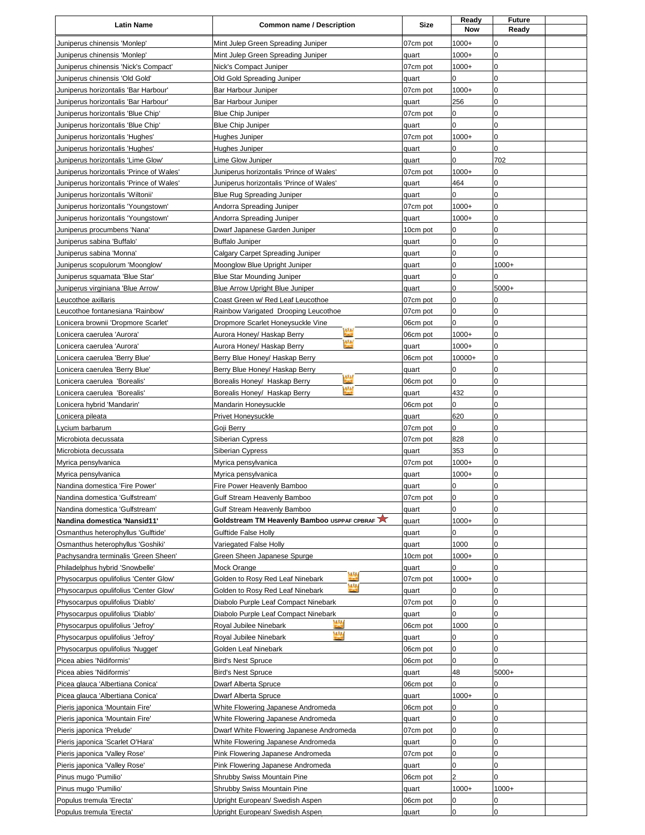| <b>Latin Name</b>                                                        | <b>Common name / Description</b>                                         | <b>Size</b>       | Ready<br><b>Now</b> | <b>Future</b><br>Ready |  |
|--------------------------------------------------------------------------|--------------------------------------------------------------------------|-------------------|---------------------|------------------------|--|
| Juniperus chinensis 'Monlep'                                             | Mint Julep Green Spreading Juniper                                       | 07cm pot          | $1000+$             | 0                      |  |
| Juniperus chinensis 'Monlep'                                             | Mint Julep Green Spreading Juniper                                       | quart             | $1000+$             | $\mathbf 0$            |  |
| Juniperus chinensis 'Nick's Compact'                                     | Nick's Compact Juniper                                                   | 07cm pot          | $1000+$             | $\pmb{0}$              |  |
| Juniperus chinensis 'Old Gold'                                           | Old Gold Spreading Juniper                                               | quart             | 0                   | 0                      |  |
| Juniperus horizontalis 'Bar Harbour'                                     | Bar Harbour Juniper                                                      | 07cm pot          | $1000+$             | $\mathbf 0$            |  |
| Juniperus horizontalis 'Bar Harbour'                                     | Bar Harbour Juniper                                                      | quart             | 256<br>0            | $\pmb{0}$<br>0         |  |
| Juniperus horizontalis 'Blue Chip'<br>Juniperus horizontalis 'Blue Chip' | <b>Blue Chip Juniper</b><br><b>Blue Chip Juniper</b>                     | 07cm pot<br>quart | 0                   | $\mathbf 0$            |  |
| Juniperus horizontalis 'Hughes'                                          | Hughes Juniper                                                           | 07cm pot          | $1000+$             | $\pmb{0}$              |  |
| Juniperus horizontalis 'Hughes'                                          | Hughes Juniper                                                           | quart             | 0                   | 0                      |  |
| Juniperus horizontalis 'Lime Glow'                                       | Lime Glow Juniper                                                        | quart             | 0                   | 702                    |  |
| Juniperus horizontalis 'Prince of Wales'                                 | Juniperus horizontalis 'Prince of Wales'                                 | 07cm pot          | $1000+$             | 0                      |  |
| Juniperus horizontalis 'Prince of Wales'                                 | Juniperus horizontalis 'Prince of Wales'                                 | quart             | 464                 | 0                      |  |
| Juniperus horizontalis 'Wiltonii'                                        | <b>Blue Rug Spreading Juniper</b>                                        | quart             | 0                   | 0                      |  |
| Juniperus horizontalis 'Youngstown'                                      | Andorra Spreading Juniper                                                | 07cm pot          | $1000+$             | 0                      |  |
| Juniperus horizontalis 'Youngstown'                                      | Andorra Spreading Juniper                                                | quart             | $1000+$             | 0                      |  |
| Juniperus procumbens 'Nana'                                              | Dwarf Japanese Garden Juniper                                            | 10cm pot          | 0                   | $\pmb{0}$              |  |
| Juniperus sabina 'Buffalo'                                               | <b>Buffalo Juniper</b>                                                   | quart             | 0                   | $\pmb{0}$              |  |
| Juniperus sabina 'Monna'<br>Juniperus scopulorum 'Moonglow'              | Calgary Carpet Spreading Juniper<br>Moonglow Blue Upright Juniper        | quart<br>quart    | 0<br>0              | 0<br>$1000+$           |  |
| Juniperus squamata 'Blue Star'                                           | Blue Star Mounding Juniper                                               | quart             | 0                   | 0                      |  |
| Juniperus virginiana 'Blue Arrow'                                        | <b>Blue Arrow Upright Blue Juniper</b>                                   | quart             | 0                   | 5000+                  |  |
| Leucothoe axillaris                                                      | Coast Green w/ Red Leaf Leucothoe                                        | 07cm pot          | 0                   | 0                      |  |
| Leucothoe fontanesiana 'Rainbow'                                         | Rainbow Varigated Drooping Leucothoe                                     | 07cm pot          | 0                   | $\pmb{0}$              |  |
| Lonicera brownii 'Dropmore Scarlet'                                      | Dropmore Scarlet Honeysuckle Vine                                        | 06cm pot          | 0                   | $\pmb{0}$              |  |
| Lonicera caerulea 'Aurora'                                               | 1712<br>Aurora Honey/ Haskap Berry                                       | 06cm pot          | $1000+$             | 0                      |  |
| Lonicera caerulea 'Aurora'                                               | 122<br>Aurora Honey/ Haskap Berry                                        | quart             | $1000+$             | $\mathbf 0$            |  |
| Lonicera caerulea 'Berry Blue'                                           | Berry Blue Honey/ Haskap Berry                                           | 06cm pot          | 10000+              | $\pmb{0}$              |  |
| Lonicera caerulea 'Berry Blue'                                           | Berry Blue Honey/ Haskap Berry<br>Į                                      | quart             | 0                   | 0                      |  |
| Lonicera caerulea 'Borealis'                                             | Borealis Honey/ Haskap Berry<br>$\mathbf{v}$                             | 06cm pot          | 0                   | $\mathbf 0$            |  |
| Lonicera caerulea 'Borealis'                                             | Borealis Honey/ Haskap Berry                                             | quart             | 432                 | $\pmb{0}$              |  |
| Lonicera hybrid 'Mandarin'                                               | Mandarin Honeysuckle                                                     | 06cm pot          | 0                   | 0<br>$\mathbf 0$       |  |
| Lonicera pileata                                                         | Privet Honeysuckle                                                       | quart<br>07cm pot | 620<br>0            | 0                      |  |
| Lycium barbarum<br>Microbiota decussata                                  | Goji Berry<br>Siberian Cypress                                           | 07cm pot          | 828                 | 0                      |  |
| Microbiota decussata                                                     | Siberian Cypress                                                         | quart             | 353                 | $\pmb{0}$              |  |
| Myrica pensylvanica                                                      | Myrica pensylvanica                                                      | 07cm pot          | $1000+$             | 0                      |  |
| Myrica pensylvanica                                                      | Myrica pensylvanica                                                      | quart             | $1000+$             | 0                      |  |
| Nandina domestica 'Fire Power'                                           | Fire Power Heavenly Bamboo                                               | quart             | 0                   | $\Omega$               |  |
| Nandina domestica 'Gulfstream'                                           | Gulf Stream Heavenly Bamboo                                              | 07cm pot          | 0                   | $\pmb{0}$              |  |
| Nandina domestica 'Gulfstream'                                           | Gulf Stream Heavenly Bamboo                                              | quart             | 0                   | 0                      |  |
| Nandina domestica 'Nansid11'                                             | Goldstream TM Heavenly Bamboo USPPAF CPBRAF                              | quart             | $1000+$             | $\pmb{0}$              |  |
| Osmanthus heterophyllus 'Gulftide'                                       | Gulftide False Holly                                                     | quart             | 0                   | 0                      |  |
| Osmanthus heterophyllus 'Goshiki'                                        | Variegated False Holly                                                   | quart             | 1000                | 0                      |  |
| Pachysandra terminalis 'Green Sheen'<br>Philadelphus hybrid 'Snowbelle'  | Green Sheen Japanese Spurge<br>Mock Orange                               | 10cm pot<br>quart | $1000+$<br>0        | $\pmb{0}$<br>0         |  |
| Physocarpus opulifolius 'Center Glow'                                    | Golden to Rosy Red Leaf Ninebark                                         | 07cm pot          | $1000+$             | 0                      |  |
| Physocarpus opulifolius 'Center Glow'                                    | mί<br>Golden to Rosy Red Leaf Ninebark                                   | quart             | 0                   | 0                      |  |
| Physocarpus opulifolius 'Diablo'                                         | Diabolo Purple Leaf Compact Ninebark                                     | 07cm pot          | 0                   | 0                      |  |
| Physocarpus opulifolius 'Diablo'                                         | Diabolo Purple Leaf Compact Ninebark                                     | quart             | 0                   | 0                      |  |
| Physocarpus opulifolius 'Jefroy'                                         | Royal Jubilee Ninebark                                                   | 06cm pot          | 1000                | 0                      |  |
| Physocarpus opulifolius 'Jefroy'                                         | шı<br>Royal Jubilee Ninebark                                             | quart             | 0                   | 0                      |  |
| Physocarpus opulifolius 'Nugget'                                         | Golden Leaf Ninebark                                                     | 06cm pot          | 0                   | 0                      |  |
| Picea abies 'Nidiformis'                                                 | <b>Bird's Nest Spruce</b>                                                | 06cm pot          | 0                   | 0                      |  |
| Picea abies 'Nidiformis'                                                 | <b>Bird's Nest Spruce</b>                                                | quart             | 48                  | 5000+                  |  |
| Picea glauca 'Albertiana Conica'                                         | Dwarf Alberta Spruce                                                     | 06cm pot          | 0                   | 0                      |  |
| Picea glauca 'Albertiana Conica'                                         | Dwarf Alberta Spruce                                                     | quart             | $1000+$<br>0        | 0<br>0                 |  |
| Pieris japonica 'Mountain Fire'<br>Pieris japonica 'Mountain Fire'       | White Flowering Japanese Andromeda<br>White Flowering Japanese Andromeda | 06cm pot<br>quart | 0                   | 0                      |  |
| Pieris japonica 'Prelude'                                                | Dwarf White Flowering Japanese Andromeda                                 | 07cm pot          | 0                   | 0                      |  |
| Pieris japonica 'Scarlet O'Hara'                                         | White Flowering Japanese Andromeda                                       | quart             | 0                   | $\pmb{0}$              |  |
| Pieris japonica 'Valley Rose'                                            | Pink Flowering Japanese Andromeda                                        | 07cm pot          | 0                   | 0                      |  |
| Pieris japonica 'Valley Rose'                                            | Pink Flowering Japanese Andromeda                                        | quart             | 0                   | 0                      |  |
| Pinus mugo 'Pumilio'                                                     | Shrubby Swiss Mountain Pine                                              | 06cm pot          | $\overline{c}$      | 0                      |  |
| Pinus mugo 'Pumilio'                                                     | Shrubby Swiss Mountain Pine                                              | quart             | $1000+$             | $1000+$                |  |
| Populus tremula 'Erecta'                                                 | Upright European/ Swedish Aspen                                          | 06cm pot          | 0                   | 0                      |  |
| Populus tremula 'Erecta'                                                 | Upright European/ Swedish Aspen                                          | quart             | 0                   | $\pmb{0}$              |  |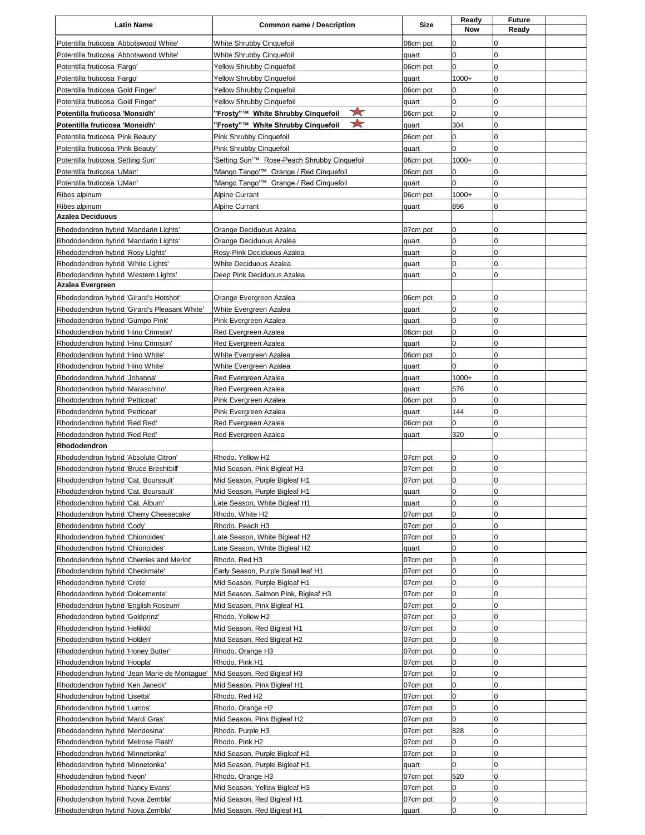| <b>Latin Name</b>                                                          | <b>Common name / Description</b>                      | Size                 | Ready<br>Now   | <b>Future</b><br>Ready |  |
|----------------------------------------------------------------------------|-------------------------------------------------------|----------------------|----------------|------------------------|--|
| Potentilla fruticosa 'Abbotswood White'                                    | White Shrubby Cinquefoil                              | 06cm pot             | 0              | 0                      |  |
| Potentilla fruticosa 'Abbotswood White'                                    | White Shrubby Cinquefoil                              | quart                | $\overline{0}$ | $\pmb{0}$              |  |
| Potentilla fruticosa 'Fargo'                                               | Yellow Shrubby Cinquefoil                             | 06cm pot             | 0              | 0                      |  |
| Potentilla fruticosa 'Fargo'                                               | <b>Yellow Shrubby Cinquefoil</b>                      | quart                | $1000+$        | 0                      |  |
| Potentilla fruticosa 'Gold Finger'                                         | Yellow Shrubby Cinquefoil                             | 06cm pot             | 0              | $\mathbf 0$            |  |
| Potentilla fruticosa 'Gold Finger'                                         | Yellow Shrubby Cinquefoil                             | quart                | 0              | 0                      |  |
| Potentilla fruticosa 'Monsidh'                                             | ☆<br>"Frosty"™ White Shrubby Cinquefoil               | 06cm pot             | 0              | 0                      |  |
| Potentilla fruticosa 'Monsidh'                                             | ★<br>"Frosty"™ White Shrubby Cinquefoil               | quart                | 304            | $\pmb{0}$              |  |
| Potentilla fruticosa 'Pink Beauty'<br>Potentilla fruticosa 'Pink Beauty'   | Pink Shrubby Cinquefoil<br>Pink Shrubby Cinquefoil    | 06cm pot<br>quart    | 0<br>0         | 0<br>0                 |  |
| Potentilla fruticosa 'Setting Sun'                                         | Setting Sun'™ Rose-Peach Shrubby Cinquefoil           | 06cm pot             | $1000+$        | $\pmb{0}$              |  |
| Potentilla fruticosa 'UMan'                                                | 'Mango Tango'™ Orange / Red Cinquefoil                | 06cm pot             | 0              | 0                      |  |
| Potentilla fruticosa 'UMan'                                                | 'Mango Tango'™ Orange / Red Cinquefoil                | quart                | 0              | 0                      |  |
| Ribes alpinum                                                              | <b>Alpine Currant</b>                                 | 06cm pot             | $1000+$        | $\mathbf 0$            |  |
| Ribes alpinum                                                              | <b>Alpine Currant</b>                                 | quart                | 896            | 0                      |  |
| <b>Azalea Deciduous</b>                                                    |                                                       |                      |                |                        |  |
| Rhododendron hybrid 'Mandarin Lights'                                      | Orange Deciduous Azalea                               | 07cm pot             | 0              | $\pmb{0}$              |  |
| Rhododendron hybrid 'Mandarin Lights'<br>Rhododendron hybrid 'Rosy Lights' | Orange Deciduous Azalea<br>Rosy-Pink Deciduous Azalea | quart                | 0<br>0         | 0<br>0                 |  |
| Rhododendron hybrid 'White Lights'                                         | <b>White Deciduous Azalea</b>                         | quart<br>quart       | 0              | $\pmb{0}$              |  |
| Rhododendron hybrid 'Western Lights'                                       | Deep Pink Deciduous Azalea                            | quart                | 0              | 0                      |  |
| Azalea Evergreen                                                           |                                                       |                      |                |                        |  |
| Rhododendron hybrid 'Girard's Hotshot'                                     | Orange Evergreen Azalea                               | 06cm pot             | 0              | 0                      |  |
| Rhododendron hybrid 'Girard's Pleasant White'                              | White Evergreen Azalea                                | quart                | 0              | 0                      |  |
| Rhododendron hybrid 'Gumpo Pink'                                           | Pink Evergreen Azalea                                 | quart                | 0              | $\pmb{0}$              |  |
| Rhododendron hybrid 'Hino Crimson'                                         | Red Evergreen Azalea                                  | 06cm pot             | 0<br>0         | 0<br>$\pmb{0}$         |  |
| Rhododendron hybrid 'Hino Crimson'<br>Rhododendron hybrid 'Hino White'     | Red Evergreen Azalea<br>White Evergreen Azalea        | quart<br>06cm pot    | 0              | $\pmb{0}$              |  |
| Rhododendron hybrid 'Hino White'                                           | White Evergreen Azalea                                | quart                | $\Omega$       | 0                      |  |
| Rhododendron hybrid 'Johanna'                                              | Red Evergreen Azalea                                  | quart                | $1000+$        | $\pmb{0}$              |  |
| Rhododendron hybrid 'Maraschino'                                           | Red Evergreen Azalea                                  | quart                | 576            | 0                      |  |
| Rhododendron hybrid 'Petticoat'                                            | Pink Evergreen Azalea                                 | 06cm pot             | 0              | $\pmb{0}$              |  |
| Rhododendron hybrid 'Petticoat'                                            | Pink Evergreen Azalea                                 | quart                | 144            | 0                      |  |
| Rhododendron hybrid 'Red Red'                                              | Red Evergreen Azalea                                  | 06cm pot             | 0              | 0                      |  |
| Rhododendron hybrid 'Red Red'<br>Rhododendron                              | Red Evergreen Azalea                                  | quart                | 320            | $\pmb{0}$              |  |
| Rhododendron hybrid 'Absolute Citron'                                      | Rhodo. Yellow H2                                      | 07cm pot             | 0              | 0                      |  |
| Rhododendron hybrid 'Bruce Brechtbill'                                     | Mid Season, Pink Bigleaf H3                           | 07cm pot             | 0              | 0                      |  |
| Rhododendron hybrid 'Cat. Boursault'                                       | Mid Season, Purple Bigleaf H1                         | 07cm pot             | 0              | 0                      |  |
| Rhododendron hybrid 'Cat. Boursault'                                       | Mid Season, Purple Bigleaf H1                         | quart                | 0              | 0                      |  |
| Rhododendron hybrid 'Cat. Album'                                           | Late Season, White Bigleaf H1                         | quart                | 0              | 0                      |  |
| Rhododendron hybrid 'Cherry Cheesecake'                                    | Rhodo. White H2                                       | 07cm pot             | 0              | $\pmb{0}$              |  |
| Rhododendron hybrid 'Cody'<br>Rhododendron hybrid 'Chionoides'             | Rhodo. Peach H3<br>Late Season, White Bigleaf H2      | 07cm pot<br>07cm pot | 0<br>0         | 0<br>0                 |  |
| Rhododendron hybrid 'Chionoides'                                           | Late Season, White Bigleaf H2                         | quart                | 0              | $\pmb{0}$              |  |
| Rhododendron hybrid 'Cherries and Merlot'                                  | Rhodo. Red H3                                         | 07cm pot             | 0              | 0                      |  |
| Rhododendron hybrid 'Checkmate'                                            | Early Season, Purple Small leaf H1                    | 07cm pot             | 0              | 0                      |  |
| Rhododendron hybrid 'Crete'                                                | Mid Season, Purple Bigleaf H1                         | 07cm pot             | 0              | 0                      |  |
| Rhododendron hybrid 'Dolcemente'                                           | Mid Season, Salmon Pink, Bigleaf H3                   | 07cm pot             | 0              | 0                      |  |
| Rhododendron hybrid 'English Roseum'                                       | Mid Season, Pink Bigleaf H1                           | 07cm pot             | 0              | $\pmb{0}$              |  |
| Rhododendron hybrid 'Goldprinz'<br>Rhododendron hybrid 'Hellikki'          | Rhodo. Yellow H2<br>Mid Season, Red Bigleaf H1        | 07cm pot<br>07cm pot | 0<br>0         | 0<br>$\pmb{0}$         |  |
| Rhododendron hybrid 'Holden'                                               | Mid Season, Red Bigleaf H2                            | 07cm pot             | 0              | 0                      |  |
| Rhododendron hybrid 'Honey Butter'                                         | Rhodo. Orange H3                                      | 07cm pot             | 0              | 0                      |  |
| Rhododendron hybrid 'Hoopla'                                               | Rhodo. Pink H1                                        | 07cm pot             | 0              | $\pmb{0}$              |  |
| Rhododendron hybrid 'Jean Marie de Montague'                               | Mid Season, Red Bigleaf H3                            | 07cm pot             | 0              | 0                      |  |
| Rhododendron hybrid 'Ken Janeck'                                           | Mid Season, Pink Bigleaf H1                           | 07cm pot             | 0              | $\pmb{0}$              |  |
| Rhododendron hybrid 'Lisetta'                                              | Rhodo. Red H2                                         | 07cm pot             | 0              | $\pmb{0}$              |  |
| Rhododendron hybrid 'Lumos'<br>Rhododendron hybrid 'Mardi Gras'            | Rhodo. Orange H2<br>Mid Season, Pink Bigleaf H2       | 07cm pot<br>07cm pot | 0<br>0         | 0<br>$\pmb{0}$         |  |
| Rhododendron hybrid 'Mendosina'                                            | Rhodo. Purple H3                                      | 07cm pot             | 828            | 0                      |  |
| Rhododendron hybrid 'Melrose Flash'                                        | Rhodo. Pink H2                                        | 07cm pot             | 0              | 0                      |  |
| Rhododendron hybrid 'Minnetonka'                                           | Mid Season, Purple Bigleaf H1                         | 07cm pot             | 0              | 0                      |  |
| Rhododendron hybrid 'Minnetonka'                                           | Mid Season, Purple Bigleaf H1                         | quart                | 0              | 0                      |  |
| Rhododendron hybrid 'Neon'                                                 | Rhodo. Orange H3                                      | 07cm pot             | 520            | 0                      |  |
| Rhododendron hybrid 'Nancy Evans'                                          | Mid Season, Yellow Bigleaf H3                         | 07cm pot             | 0              | 0                      |  |
| Rhododendron hybrid 'Nova Zembla'                                          | Mid Season, Red Bigleaf H1                            | 07cm pot             | 0<br>0         | $\pmb{0}$<br>0         |  |
| Rhododendron hybrid 'Nova Zembla'                                          | Mid Season, Red Bigleaf H1                            | quart                |                |                        |  |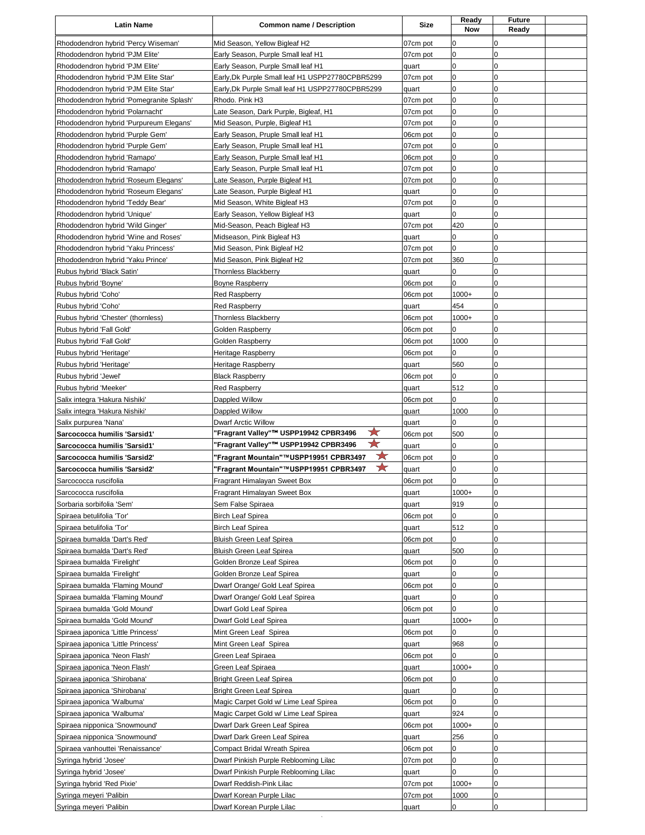| <b>Latin Name</b>                        | <b>Common name / Description</b>                 | Size     | Ready<br>Now | Future<br>Ready |  |
|------------------------------------------|--------------------------------------------------|----------|--------------|-----------------|--|
| Rhododendron hybrid 'Percy Wiseman'      | Mid Season, Yellow Bigleaf H2                    | 07cm pot | 0            | 0               |  |
| Rhododendron hybrid 'PJM Elite'          | Early Season, Purple Small leaf H1               | 07cm pot | 0            | 0               |  |
| Rhododendron hybrid 'PJM Elite'          | Early Season, Purple Small leaf H1               | quart    | 0            | 0               |  |
| Rhododendron hybrid 'PJM Elite Star'     | Early, Dk Purple Small leaf H1 USPP27780CPBR5299 | 07cm pot | 0            | 0               |  |
| Rhododendron hybrid 'PJM Elite Star'     | Early, Dk Purple Small leaf H1 USPP27780CPBR5299 | quart    | 0            | 0               |  |
| Rhododendron hybrid 'Pomegranite Splash' | Rhodo. Pink H3                                   | 07cm pot | 0            | 0               |  |
| Rhododendron hybrid 'Polarnacht'         | Late Season, Dark Purple, Bigleaf, H1            | 07cm pot | 0            | 0               |  |
| Rhododendron hybrid 'Purpureum Elegans'  | Mid Season, Purple, Bigleaf H1                   | 07cm pot | 0            | 0               |  |
| Rhododendron hybrid 'Purple Gem'         | Early Season, Pruple Small leaf H1               | 06cm pot | 0            | 0               |  |
| Rhododendron hybrid 'Purple Gem'         | Early Season, Pruple Small leaf H1               | 07cm pot | 0            | 0               |  |
| Rhododendron hybrid 'Ramapo'             | Early Season, Purple Small leaf H1               | 06cm pot | 0            | 0               |  |
| Rhododendron hybrid 'Ramapo'             | Early Season, Purple Small leaf H1               | 07cm pot | 0            | 0               |  |
| Rhododendron hybrid 'Roseum Elegans'     | Late Season, Purple Bigleaf H1                   | 07cm pot | 0            | 0               |  |
| Rhododendron hybrid 'Roseum Elegans'     | Late Season, Purple Bigleaf H1                   | quart    | 0            | 0               |  |
| Rhododendron hybrid 'Teddy Bear'         | Mid Season, White Bigleaf H3                     | 07cm pot | 0            | 0               |  |
| Rhododendron hybrid 'Unique'             | Early Season, Yellow Bigleaf H3                  | quart    | 0            | 0               |  |
| Rhododendron hybrid 'Wild Ginger'        | Mid-Season, Peach Bigleaf H3                     | 07cm pot | 420          | 0               |  |
| Rhododendron hybrid 'Wine and Roses'     | Midseason, Pink Bigleaf H3                       | quart    | 0            | 0               |  |
| Rhododendron hybrid 'Yaku Princess'      | Mid Season, Pink Bigleaf H2                      | 07cm pot | 0            | 0               |  |
| Rhododendron hybrid 'Yaku Prince'        | Mid Season, Pink Bigleaf H2                      | 07cm pot | 360          | 0               |  |
| Rubus hybrid 'Black Satin'               | <b>Thornless Blackberry</b>                      | quart    | 0            | 0               |  |
| Rubus hybrid 'Boyne'                     | <b>Boyne Raspberry</b>                           | 06cm pot | 0            | 0               |  |
| Rubus hybrid 'Coho'                      | <b>Red Raspberry</b>                             | 06cm pot | $1000+$      | 0               |  |
| Rubus hybrid 'Coho'                      | <b>Red Raspberry</b>                             | quart    | 454          | 0               |  |
| Rubus hybrid 'Chester' (thornless)       | <b>Thornless Blackberry</b>                      | 06cm pot | $1000+$      | 0               |  |
| Rubus hybrid 'Fall Gold'                 | Golden Raspberry                                 | 06cm pot | 0            | 0               |  |
| Rubus hybrid 'Fall Gold'                 |                                                  | 06cm pot | 1000         | 0               |  |
|                                          | Golden Raspberry                                 |          |              |                 |  |
| Rubus hybrid 'Heritage'                  | Heritage Raspberry                               | 06cm pot | 0            | 0               |  |
| Rubus hybrid 'Heritage'                  | Heritage Raspberry                               | quart    | 560          | 0               |  |
| Rubus hybrid 'Jewel'                     | <b>Black Raspberry</b>                           | 06cm pot | 0            | 0               |  |
| Rubus hybrid 'Meeker'                    | <b>Red Raspberry</b>                             | quart    | 512          | 0               |  |
| Salix integra 'Hakura Nishiki'           | Dappled Willow                                   | 06cm pot | 0            | 0               |  |
| Salix integra 'Hakura Nishiki'           | Dappled Willow                                   | quart    | 1000         | 0               |  |
| Salix purpurea 'Nana'                    | <b>Dwarf Arctic Willow</b>                       | quart    | 0            | 0               |  |
| Sarcococca humilis 'Sarsid1'             | ★<br>"Fragrant Valley"™ USPP19942 CPBR3496       | 06cm pot | 500          | 0               |  |
| Sarcococca humilis 'Sarsid1'             | ₩<br>'Fragrant Valley"™ USPP19942 CPBR3496       | quart    | 0            | 0               |  |
| Sarcococca humilis 'Sarsid2'             | ★<br>"Fragrant Mountain"™USPP19951 CPBR3497      | 06cm pot | 0            | 0               |  |
| Sarcococca humilis 'Sarsid2'             | ★<br>'Fragrant Mountain"™USPP19951 CPBR3497      | quart    | 0            | 0               |  |
| Sarcococca ruscifolia                    | Fragrant Himalayan Sweet Box                     | 06cm pot | 0            | 0               |  |
| Sarcococca ruscifolia                    | Fragrant Himalayan Sweet Box                     | quart    | $1000+$      | 0               |  |
| Sorbaria sorbifolia 'Sem'                | Sem False Spiraea                                | quart    | 919          | 0               |  |
| Spiraea betulifolia 'Tor'                | <b>Birch Leaf Spirea</b>                         | 06cm pot | 0            | 0               |  |
| Spiraea betulifolia 'Tor'                | <b>Birch Leaf Spirea</b>                         | quart    | 512          | 0               |  |
| Spiraea bumalda 'Dart's Red'             | <b>Bluish Green Leaf Spirea</b>                  | 06cm pot | 0            | 0               |  |
| Spiraea bumalda 'Dart's Red'             | Bluish Green Leaf Spirea                         | quart    | 500          | 0               |  |
| Spiraea bumalda 'Firelight'              | Golden Bronze Leaf Spirea                        | 06cm pot | 0            | 0               |  |
| Spiraea bumalda 'Firelight'              | Golden Bronze Leaf Spirea                        | quart    | 0            | 0               |  |
| Spiraea bumalda 'Flaming Mound'          | Dwarf Orange/ Gold Leaf Spirea                   | 06cm pot | 0            | 0               |  |
| Spiraea bumalda 'Flaming Mound'          | Dwarf Orange/ Gold Leaf Spirea                   | quart    | 0            | 0               |  |
| Spiraea bumalda 'Gold Mound'             | Dwarf Gold Leaf Spirea                           | 06cm pot | 0            | 0               |  |
| Spiraea bumalda 'Gold Mound'             | Dwarf Gold Leaf Spirea                           | quart    | $1000+$      | 0               |  |
| Spiraea japonica 'Little Princess'       | Mint Green Leaf Spirea                           | 06cm pot | 0            | 0               |  |
| Spiraea japonica 'Little Princess'       | Mint Green Leaf Spirea                           | quart    | 968          | 0               |  |
| Spiraea japonica 'Neon Flash'            | Green Leaf Spiraea                               | 06cm pot | 0            | 0               |  |
| Spiraea japonica 'Neon Flash'            | Green Leaf Spiraea                               | quart    | $1000+$      | 0               |  |
| Spiraea japonica 'Shirobana'             | <b>Bright Green Leaf Spirea</b>                  | 06cm pot | 0            | 0               |  |
| Spiraea japonica 'Shirobana'             | <b>Bright Green Leaf Spirea</b>                  | quart    | 0            | 0               |  |
| Spiraea japonica 'Walbuma'               | Magic Carpet Gold w/ Lime Leaf Spirea            | 06cm pot | 0            | 0               |  |
| Spiraea japonica 'Walbuma'               | Magic Carpet Gold w/ Lime Leaf Spirea            | quart    | 924          | 0               |  |
| Spiraea nipponica 'Snowmound'            | Dwarf Dark Green Leaf Spirea                     | 06cm pot | $1000+$      | 0               |  |
| Spiraea nipponica 'Snowmound'            | Dwarf Dark Green Leaf Spirea                     | quart    | 256          | 0               |  |
| Spiraea vanhouttei 'Renaissance'         | Compact Bridal Wreath Spirea                     | 06cm pot | 0            | 0               |  |
| Syringa hybrid 'Josee'                   | Dwarf Pinkish Purple Reblooming Lilac            | 07cm pot | 0            | 0               |  |
| Syringa hybrid 'Josee'                   | Dwarf Pinkish Purple Reblooming Lilac            | quart    | 0            | 0               |  |
| Syringa hybrid 'Red Pixie'               | Dwarf Reddish-Pink Lilac                         | 07cm pot | $1000+$      | 0               |  |
| Syringa meyeri 'Palibin                  | Dwarf Korean Purple Lilac                        | 07cm pot | 1000         | 0               |  |
| Syringa meyeri 'Palibin                  | Dwarf Korean Purple Lilac                        | quart    | 0            | 0               |  |
|                                          | $\epsilon$                                       |          |              |                 |  |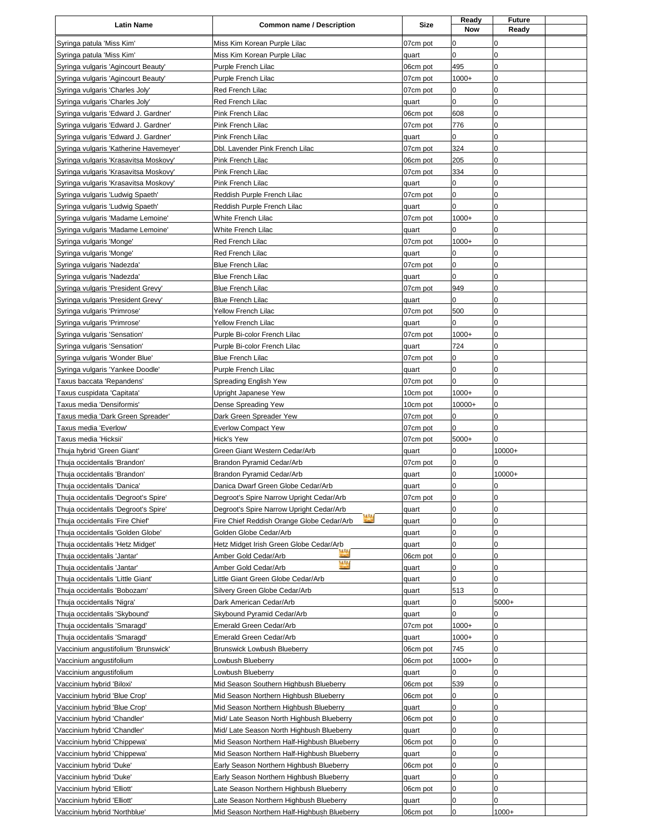| <b>Latin Name</b>                                                              | <b>Common name / Description</b>                                                            | <b>Size</b>       | Ready<br><b>Now</b> | <b>Future</b><br>Ready |  |
|--------------------------------------------------------------------------------|---------------------------------------------------------------------------------------------|-------------------|---------------------|------------------------|--|
| Syringa patula 'Miss Kim'                                                      | Miss Kim Korean Purple Lilac                                                                | 07cm pot          | 0                   | 0                      |  |
| Syringa patula 'Miss Kim'                                                      | Miss Kim Korean Purple Lilac                                                                | quart             | 0                   | 0                      |  |
| Syringa vulgaris 'Agincourt Beauty'                                            | Purple French Lilac                                                                         | 06cm pot          | 495                 | 0                      |  |
| Syringa vulgaris 'Agincourt Beauty'                                            | Purple French Lilac                                                                         | 07cm pot          | 1000+               | 0                      |  |
| Syringa vulgaris 'Charles Joly'                                                | Red French Lilac                                                                            | 07cm pot          | 0                   | 0                      |  |
| Syringa vulgaris 'Charles Joly'                                                | Red French Lilac                                                                            | quart             | 0                   | $\pmb{0}$              |  |
| Syringa vulgaris 'Edward J. Gardner'                                           | Pink French Lilac                                                                           | 06cm pot          | 608                 | 0                      |  |
| Syringa vulgaris 'Edward J. Gardner'                                           | Pink French Lilac                                                                           | 07cm pot          | 776                 | 0                      |  |
| Syringa vulgaris 'Edward J. Gardner'                                           | Pink French Lilac                                                                           | quart             | 0                   | $\pmb{0}$              |  |
| Syringa vulgaris 'Katherine Havemeyer'                                         | Dbl. Lavender Pink French Lilac                                                             | 07cm pot          | 324                 | $\mathbf 0$            |  |
| Syringa vulgaris 'Krasavitsa Moskovy'                                          | Pink French Lilac                                                                           | 06cm pot          | 205                 | 0                      |  |
| Syringa vulgaris 'Krasavitsa Moskovy'<br>Syringa vulgaris 'Krasavitsa Moskovy' | Pink French Lilac<br>Pink French Lilac                                                      | 07cm pot<br>quart | 334<br>0            | $\pmb{0}$<br>$\pmb{0}$ |  |
| Syringa vulgaris 'Ludwig Spaeth'                                               | Reddish Purple French Lilac                                                                 | 07cm pot          | 0                   | 0                      |  |
| Syringa vulgaris 'Ludwig Spaeth'                                               | Reddish Purple French Lilac                                                                 | quart             | 0                   | $\mathbf 0$            |  |
| Syringa vulgaris 'Madame Lemoine'                                              | White French Lilac                                                                          | 07cm pot          | $1000+$             | $\mathbf 0$            |  |
| Syringa vulgaris 'Madame Lemoine'                                              | White French Lilac                                                                          | quart             | 0                   | 0                      |  |
| Syringa vulgaris 'Monge'                                                       | Red French Lilac                                                                            | 07cm pot          | $1000+$             | $\pmb{0}$              |  |
| Syringa vulgaris 'Monge'                                                       | Red French Lilac                                                                            | quart             | 0                   | $\pmb{0}$              |  |
| Syringa vulgaris 'Nadezda'                                                     | <b>Blue French Lilac</b>                                                                    | 07cm pot          | 0                   | 0                      |  |
| Syringa vulgaris 'Nadezda'                                                     | <b>Blue French Lilac</b>                                                                    | quart             | 0                   | 0                      |  |
| Syringa vulgaris 'President Grevy'                                             | <b>Blue French Lilac</b>                                                                    | 07cm pot          | 949                 | 0                      |  |
| Syringa vulgaris 'President Grevy'                                             | <b>Blue French Lilac</b>                                                                    | quart             | 0                   | 0                      |  |
| Syringa vulgaris 'Primrose'                                                    | <b>Yellow French Lilac</b>                                                                  | 07cm pot          | 500                 | $\pmb{0}$              |  |
| Syringa vulgaris 'Primrose'                                                    | <b>Yellow French Lilac</b>                                                                  | quart             | 0                   | $\mathbf 0$            |  |
| Syringa vulgaris 'Sensation'                                                   | Purple Bi-color French Lilac                                                                | 07cm pot          | $1000+$             | 0<br>0                 |  |
| Syringa vulgaris 'Sensation'<br>Syringa vulgaris 'Wonder Blue'                 | Purple Bi-color French Lilac<br><b>Blue French Lilac</b>                                    | quart<br>07cm pot | 724<br>0            | $\pmb{0}$              |  |
| Syringa vulgaris 'Yankee Doodle'                                               | Purple French Lilac                                                                         | quart             | 0                   | 0                      |  |
| Taxus baccata 'Repandens'                                                      | Spreading English Yew                                                                       | 07cm pot          | 0                   | $\pmb{0}$              |  |
| Taxus cuspidata 'Capitata'                                                     | Upright Japanese Yew                                                                        | 10cm pot          | $1000+$             | $\overline{0}$         |  |
| Taxus media 'Densiformis'                                                      | Dense Spreading Yew                                                                         | 10cm pot          | 10000+              | 0                      |  |
| Taxus media 'Dark Green Spreader'                                              | Dark Green Spreader Yew                                                                     | 07cm pot          | 0                   | 0                      |  |
| Taxus media 'Everlow'                                                          | <b>Everlow Compact Yew</b>                                                                  | 07cm pot          | 0                   | $\mathbf 0$            |  |
| Taxus media 'Hicksii'                                                          | Hick's Yew                                                                                  | 07cm pot          | $5000+$             | 0                      |  |
| Thuja hybrid 'Green Giant'                                                     | Green Giant Western Cedar/Arb                                                               | quart             | 0                   | 10000+                 |  |
| Thuja occidentalis 'Brandon'                                                   | Brandon Pyramid Cedar/Arb                                                                   | 07cm pot          | $\pmb{0}$           | 0                      |  |
| Thuja occidentalis 'Brandon'                                                   | Brandon Pyramid Cedar/Arb                                                                   | quart             | 0                   | 10000+                 |  |
| Thuja occidentalis 'Danica'                                                    | Danica Dwarf Green Globe Cedar/Arb                                                          | quart             | $\mathbf 0$         | 0                      |  |
| Thuja occidentalis 'Degroot's Spire'                                           | Degroot's Spire Narrow Upright Cedar/Arb                                                    | 07cm pot          | 0                   | 0                      |  |
| Thuja occidentalis 'Degroot's Spire'<br>Thuja occidentalis 'Fire Chief'        | Degroot's Spire Narrow Upright Cedar/Arb<br>čά<br>Fire Chief Reddish Orange Globe Cedar/Arb | quart<br>quart    | 0<br>0              | 0<br>$\pmb{0}$         |  |
| Thuja occidentalis 'Golden Globe'                                              | Golden Globe Cedar/Arb                                                                      | quart             | 0                   | 0                      |  |
| Thuja occidentalis 'Hetz Midget'                                               | Hetz Midget Irish Green Globe Cedar/Arb                                                     | quart             | 0                   | 0                      |  |
| Thuja occidentalis 'Jantar'                                                    | Amber Gold Cedar/Arb                                                                        | 06cm pot          | 0                   | 0                      |  |
| Thuja occidentalis 'Jantar'                                                    | nn.<br>Amber Gold Cedar/Arb                                                                 | quart             | 0                   | 0                      |  |
| Thuja occidentalis 'Little Giant'                                              | Little Giant Green Globe Cedar/Arb                                                          | quart             | 0                   | 0                      |  |
| Thuja occidentalis 'Bobozam'                                                   | Silvery Green Globe Cedar/Arb                                                               | quart             | 513                 | 0                      |  |
| Thuja occidentalis 'Nigra'                                                     | Dark American Cedar/Arb                                                                     | quart             | 0                   | 5000+                  |  |
| Thuja occidentalis 'Skybound'                                                  | Skybound Pyramid Cedar/Arb                                                                  | quart             | 0                   | 0                      |  |
| Thuja occidentalis 'Smaragd'                                                   | Emerald Green Cedar/Arb                                                                     | 07cm pot          | $1000+$             | 0                      |  |
| Thuja occidentalis 'Smaragd'                                                   | Emerald Green Cedar/Arb                                                                     | quart             | $1000+$             | 0                      |  |
| Vaccinium angustifolium 'Brunswick'                                            | Brunswick Lowbush Blueberry                                                                 | 06cm pot          | 745                 | 0<br>0                 |  |
| Vaccinium angustifolium<br>Vaccinium angustifolium                             | Lowbush Blueberry<br>Lowbush Blueberry                                                      | 06cm pot<br>quart | $1000+$<br>0        | $\pmb{0}$              |  |
| Vaccinium hybrid 'Biloxi'                                                      | Mid Season Southern Highbush Blueberry                                                      | 06cm pot          | 539                 | $\pmb{0}$              |  |
| Vaccinium hybrid 'Blue Crop'                                                   | Mid Season Northern Highbush Blueberry                                                      | 06cm pot          | 0                   | $\pmb{0}$              |  |
| Vaccinium hybrid 'Blue Crop'                                                   | Mid Season Northern Highbush Blueberry                                                      | quart             | 0                   | 0                      |  |
| Vaccinium hybrid 'Chandler'                                                    | Mid/ Late Season North Highbush Blueberry                                                   | 06cm pot          | 0                   | 0                      |  |
| Vaccinium hybrid 'Chandler'                                                    | Mid/ Late Season North Highbush Blueberry                                                   | quart             | 0                   | 0                      |  |
| Vaccinium hybrid 'Chippewa'                                                    | Mid Season Northern Half-Highbush Blueberry                                                 | 06cm pot          | 0                   | 0                      |  |
| Vaccinium hybrid 'Chippewa'                                                    | Mid Season Northern Half-Highbush Blueberry                                                 | quart             | $\pmb{0}$           | $\pmb{0}$              |  |
| Vaccinium hybrid 'Duke'                                                        | Early Season Northern Highbush Blueberry                                                    | 06cm pot          | 0                   | 0                      |  |
| Vaccinium hybrid 'Duke'                                                        | Early Season Northern Highbush Blueberry                                                    | quart             | 0                   | 0                      |  |
| Vaccinium hybrid 'Elliott'                                                     | Late Season Northern Highbush Blueberry                                                     | 06cm pot          | 0                   | 0                      |  |
| Vaccinium hybrid 'Elliott'                                                     | Late Season Northern Highbush Blueberry                                                     | quart             | 0                   | 0                      |  |
| Vaccinium hybrid 'Northblue'                                                   | Mid Season Northern Half-Highbush Blueberry                                                 | 06cm pot          | 0                   | $1000+$                |  |